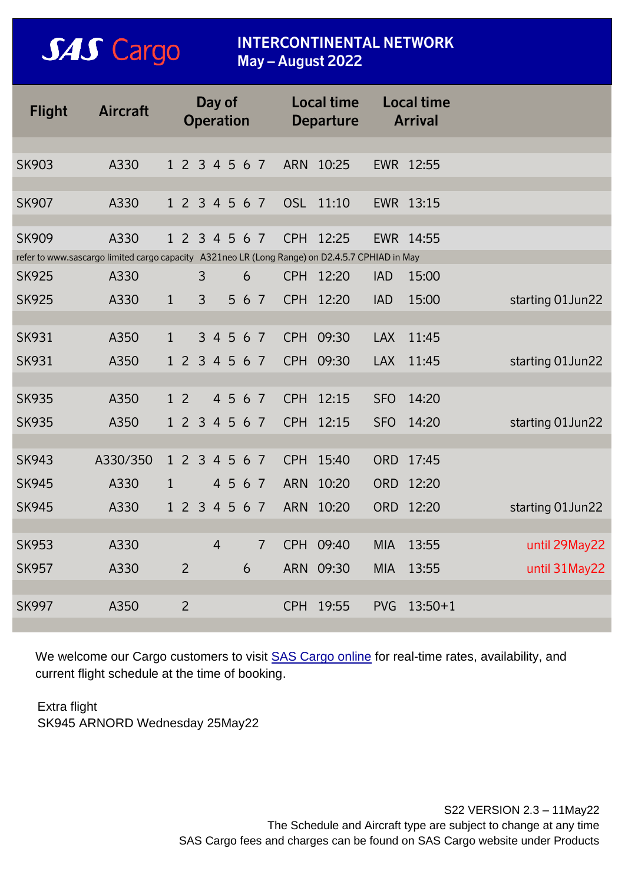## **SAS** Cargo

### **INTERCONTINENTAL NETWORK May – August 2022**

| <b>Flight</b>                                                                                  | <b>Aircraft</b>      | Day of<br><b>Operation</b> |           |                |           |     |                | <b>Local time</b><br><b>Departure</b> |           |            | <b>Local time</b><br><b>Arrival</b> |                   |
|------------------------------------------------------------------------------------------------|----------------------|----------------------------|-----------|----------------|-----------|-----|----------------|---------------------------------------|-----------|------------|-------------------------------------|-------------------|
|                                                                                                |                      |                            |           |                |           |     |                |                                       |           |            |                                     |                   |
| <b>SK903</b>                                                                                   | A330                 | 1 2 3 4 5 6 7              |           |                |           |     |                |                                       | ARN 10:25 |            | EWR 12:55                           |                   |
| <b>SK907</b>                                                                                   | A330                 | 1 2 3 4 5 6 7              |           |                |           |     |                | <b>OSL</b>                            | 11:10     |            | EWR 13:15                           |                   |
| <b>SK909</b>                                                                                   | A330                 | 1 2 3 4 5 6 7              |           |                |           |     |                |                                       | CPH 12:25 |            | EWR 14:55                           |                   |
| refer to www.sascargo limited cargo capacity A321neo LR (Long Range) on D2.4.5.7 CPHIAD in May |                      |                            |           |                |           |     |                |                                       |           |            |                                     |                   |
| <b>SK925</b>                                                                                   | A330                 |                            | 3         |                |           | 6   |                | <b>CPH</b>                            | 12:20     | <b>IAD</b> | 15:00                               |                   |
| <b>SK925</b>                                                                                   | A330<br>$\mathbf{1}$ |                            | 3         |                | 5         | 6 7 |                |                                       | CPH 12:20 | <b>IAD</b> | 15:00                               | starting 01 Jun22 |
|                                                                                                |                      |                            |           |                |           |     |                |                                       |           |            |                                     |                   |
| <b>SK931</b>                                                                                   | A350<br>$\mathbf{1}$ |                            |           |                | 3 4 5 6 7 |     |                | <b>CPH</b>                            | 09:30     | <b>LAX</b> | 11:45                               |                   |
| <b>SK931</b>                                                                                   | A350                 | 1 2 3 4 5 6 7              |           |                |           |     |                | <b>CPH</b>                            | 09:30     | <b>LAX</b> | 11:45                               | starting 01 Jun22 |
|                                                                                                |                      |                            |           |                |           |     |                |                                       |           |            |                                     |                   |
| <b>SK935</b>                                                                                   | A350                 | 1 <sub>2</sub>             |           |                | 4 5 6 7   |     |                | <b>CPH</b>                            | 12:15     | <b>SFO</b> | 14:20                               |                   |
| <b>SK935</b>                                                                                   | A350                 | $1\,2$                     | 3 4 5 6 7 |                |           |     |                | <b>CPH</b>                            | 12:15     | <b>SFO</b> | 14:20                               | starting 01 Jun22 |
|                                                                                                |                      |                            |           |                |           |     |                |                                       |           |            |                                     |                   |
| <b>SK943</b>                                                                                   | A330/350             | 1 2 3 4 5 6 7              |           |                |           |     |                |                                       | CPH 15:40 | <b>ORD</b> | 17:45                               |                   |
| <b>SK945</b>                                                                                   | A330<br>$\mathbf{1}$ |                            |           |                | 4 5 6 7   |     |                | <b>ARN</b>                            | 10:20     | <b>ORD</b> | 12:20                               |                   |
| <b>SK945</b>                                                                                   | A330                 | 1 2 3 4 5 6 7              |           |                |           |     |                | <b>ARN</b>                            | 10:20     | <b>ORD</b> | 12:20                               | starting 01 Jun22 |
|                                                                                                |                      |                            |           |                |           |     |                |                                       |           |            |                                     |                   |
| <b>SK953</b>                                                                                   | A330                 |                            |           | $\overline{4}$ |           |     | $\overline{7}$ | <b>CPH</b>                            | 09:40     | <b>MIA</b> | 13:55                               | until 29May22     |
| <b>SK957</b>                                                                                   | A330                 | $\overline{2}$             |           |                |           | 6   |                | <b>ARN</b>                            | 09:30     | <b>MIA</b> | 13:55                               | until 31 May 22   |
|                                                                                                |                      |                            |           |                |           |     |                |                                       |           |            |                                     |                   |
| <b>SK997</b>                                                                                   | A350                 | $\overline{2}$             |           |                |           |     |                |                                       | CPH 19:55 | <b>PVG</b> | $13:50+1$                           |                   |

We welcome our Cargo customers to visit **[SAS Cargo online](http://www.sascargo.com/)** for real-time rates, availability, and current flight schedule at the time of booking.

## Extra flight

SK945 ARNORD Wednesday 25May22